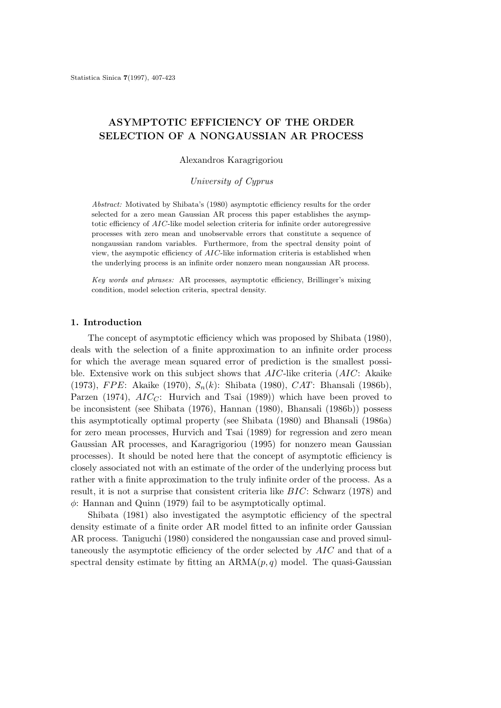# **ASYMPTOTIC EFFICIENCY OF THE ORDER SELECTION OF A NONGAUSSIAN AR PROCESS**

### Alexandros Karagrigoriou

*University of Cyprus*

*Abstract:* Motivated by Shibata's (1980) asymptotic efficiency results for the order selected for a zero mean Gaussian AR process this paper establishes the asymptotic efficiency of *AIC*-like model selection criteria for infinite order autoregressive processes with zero mean and unobservable errors that constitute a sequence of nongaussian random variables. Furthermore, from the spectral density point of view, the asympotic efficiency of *AIC*-like information criteria is established when the underlying process is an infinite order nonzero mean nongaussian AR process.

*Key words and phrases:* AR processes, asymptotic efficiency, Brillinger's mixing condition, model selection criteria, spectral density.

## **1. Introduction**

The concept of asymptotic efficiency which was proposed by Shibata (1980), deals with the selection of a finite approximation to an infinite order process for which the average mean squared error of prediction is the smallest possible. Extensive work on this subject shows that AIC-like criteria (AIC: Akaike (1973), FPE: Akaike (1970),  $S_n(k)$ : Shibata (1980), CAT: Bhansali (1986b), Parzen (1974),  $AIC_C$ : Hurvich and Tsai (1989)) which have been proved to be inconsistent (see Shibata (1976), Hannan (1980), Bhansali (1986b)) possess this asymptotically optimal property (see Shibata (1980) and Bhansali (1986a) for zero mean processes, Hurvich and Tsai (1989) for regression and zero mean Gaussian AR processes, and Karagrigoriou (1995) for nonzero mean Gaussian processes). It should be noted here that the concept of asymptotic efficiency is closely associated not with an estimate of the order of the underlying process but rather with a finite approximation to the truly infinite order of the process. As a result, it is not a surprise that consistent criteria like BIC: Schwarz (1978) and  $\phi$ : Hannan and Quinn (1979) fail to be asymptotically optimal.

Shibata (1981) also investigated the asymptotic efficiency of the spectral density estimate of a finite order AR model fitted to an infinite order Gaussian AR process. Taniguchi (1980) considered the nongaussian case and proved simultaneously the asymptotic efficiency of the order selected by AIC and that of a spectral density estimate by fitting an  $ARMA(p, q)$  model. The quasi-Gaussian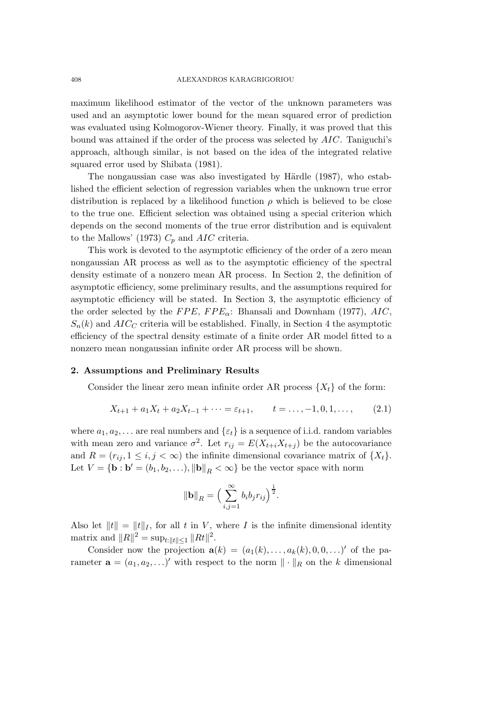maximum likelihood estimator of the vector of the unknown parameters was used and an asymptotic lower bound for the mean squared error of prediction was evaluated using Kolmogorov-Wiener theory. Finally, it was proved that this bound was attained if the order of the process was selected by AIC. Taniguchi's approach, although similar, is not based on the idea of the integrated relative squared error used by Shibata (1981).

The nongaussian case was also investigated by Härdle (1987), who established the efficient selection of regression variables when the unknown true error distribution is replaced by a likelihood function  $\rho$  which is believed to be close to the true one. Efficient selection was obtained using a special criterion which depends on the second moments of the true error distribution and is equivalent to the Mallows' (1973)  $C_p$  and AIC criteria.

This work is devoted to the asymptotic efficiency of the order of a zero mean nongaussian AR process as well as to the asymptotic efficiency of the spectral density estimate of a nonzero mean AR process. In Section 2, the definition of asymptotic efficiency, some preliminary results, and the assumptions required for asymptotic efficiency will be stated. In Section 3, the asymptotic efficiency of the order selected by the  $FPE$ ,  $FPE<sub>\alpha</sub>$ : Bhansali and Downham (1977),  $AIC$ ,  $S_n(k)$  and  $AIC_C$  criteria will be established. Finally, in Section 4 the asymptotic efficiency of the spectral density estimate of a finite order AR model fitted to a nonzero mean nongaussian infinite order AR process will be shown.

## **2. Assumptions and Preliminary Results**

Consider the linear zero mean infinite order AR process  $\{X_t\}$  of the form:

$$
X_{t+1} + a_1 X_t + a_2 X_{t-1} + \dots = \varepsilon_{t+1}, \qquad t = \dots, -1, 0, 1, \dots, \tag{2.1}
$$

where  $a_1, a_2, \ldots$  are real numbers and  $\{\varepsilon_t\}$  is a sequence of i.i.d. random variables with mean zero and variance  $\sigma^2$ . Let  $r_{ij} = E(X_{t+i}X_{t+j})$  be the autocovariance and  $R = (r_{ij}, 1 \le i, j < \infty)$  the infinite dimensional covariance matrix of  $\{X_t\}$ . Let  $V = {\mathbf{b : b'} = (b_1, b_2, \ldots), ||\mathbf{b}||_R < \infty}$  be the vector space with norm

$$
\|\mathbf{b}\|_{R} = \Big(\sum_{i,j=1}^{\infty} b_i b_j r_{ij}\Big)^{\frac{1}{2}}.
$$

Also let  $||t|| = ||t||_I$ , for all t in V, where I is the infinite dimensional identity matrix and  $||R||^2 = \sup_{t:||t|| \le 1} ||Rt||^2$ .

Consider now the projection  $\mathbf{a}(k)=(a_1(k),\ldots,a_k(k), 0, 0,\ldots)'$  of the parameter  $\mathbf{a} = (a_1, a_2, \ldots)'$  with respect to the norm  $\|\cdot\|_R$  on the k dimensional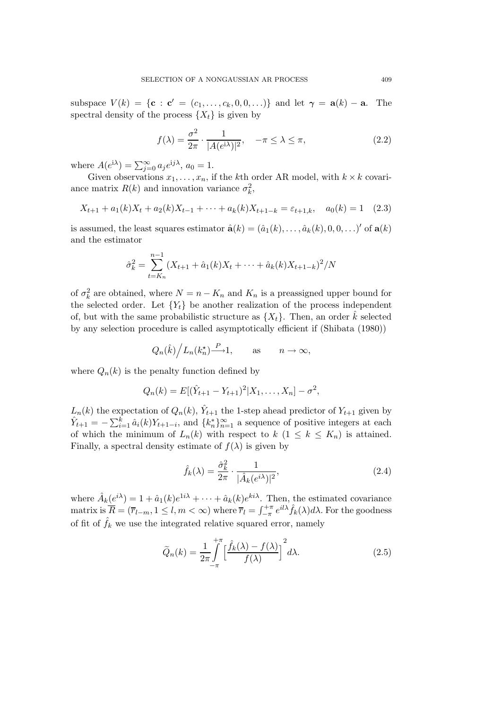subspace  $V(k) = \{c : c' = (c_1, \ldots, c_k, 0, 0, \ldots)\}\$ and let  $\gamma = a(k) - a$ . The spectral density of the process  $\{X_t\}$  is given by

$$
f(\lambda) = \frac{\sigma^2}{2\pi} \cdot \frac{1}{|A(e^{i\lambda})|^2}, \quad -\pi \le \lambda \le \pi,
$$
 (2.2)

where  $A(e^{i\lambda}) = \sum_{j=0}^{\infty} a_j e^{ij\lambda}, a_0 = 1.$ 

Given observations  $x_1, \ldots, x_n$ , if the kth order AR model, with  $k \times k$  covariance matrix  $R(k)$  and innovation variance  $\sigma_k^2$ ,

$$
X_{t+1} + a_1(k)X_t + a_2(k)X_{t-1} + \dots + a_k(k)X_{t+1-k} = \varepsilon_{t+1,k}, \quad a_0(k) = 1 \quad (2.3)
$$

is assumed, the least squares estimator  $\hat{\mathbf{a}}(k) = (\hat{a}_1(k), \dots, \hat{a}_k(k), 0, 0, \dots)$ ' of  $\mathbf{a}(k)$ and the estimator

$$
\hat{\sigma}_k^2 = \sum_{t=K_n}^{n-1} (X_{t+1} + \hat{a}_1(k)X_t + \dots + \hat{a}_k(k)X_{t+1-k})^2 / N
$$

of  $\sigma_k^2$  are obtained, where  $N = n - K_n$  and  $K_n$  is a preassigned upper bound for the selected order. Let  ${Y_t}$  be another realization of the process independent of, but with the same probabilistic structure as  $\{X_t\}$ . Then, an order  $\hat{k}$  selected by any selection procedure is called asymptotically efficient if (Shibata (1980))

$$
Q_n(\hat{k})/L_n(k_n^*) \xrightarrow{P} 1
$$
, as  $n \to \infty$ ,

where  $Q_n(k)$  is the penalty function defined by

$$
Q_n(k) = E[(\hat{Y}_{t+1} - Y_{t+1})^2 | X_1, \dots, X_n] - \sigma^2,
$$

 $L_n(k)$  the expectation of  $Q_n(k)$ ,  $\hat{Y}_{t+1}$  the 1-step ahead predictor of  $Y_{t+1}$  given by  $\hat{Y}_{t+1} = -\sum_{i=1}^{k} \hat{a}_i(k) Y_{t+1-i}$ , and  $\{k_n^*\}_{n=1}^{\infty}$  a sequence of positive integers at each of which the minimum of  $L_n(k)$  with respect to  $k$   $(1 \leq k \leq K_n)$  is attained. Finally, a spectral density estimate of  $f(\lambda)$  is given by

$$
\hat{f}_k(\lambda) = \frac{\hat{\sigma}_k^2}{2\pi} \cdot \frac{1}{|\hat{A}_k(e^{i\lambda})|^2},\tag{2.4}
$$

where  $\hat{A}_k(e^{i\lambda})=1+\hat{a}_1(k)e^{1i\lambda} + \cdots + \hat{a}_k(k)e^{ki\lambda}$ . Then, the estimated covariance matrix is  $\overline{R} = (\overline{r}_{l-m}, 1 \leq l, m < \infty)$  where  $\overline{r}_l = \int_{-\pi}^{+\pi} e^{il\lambda} \hat{f}_k(\lambda) d\lambda$ . For the goodness of fit of  $\hat{f}_k$  we use the integrated relative squared error, namely

$$
\widetilde{Q}_n(k) = \frac{1}{2\pi} \int\limits_{-\pi}^{+\pi} \left[ \frac{\widehat{f}_k(\lambda) - f(\lambda)}{f(\lambda)} \right]^2 d\lambda.
$$
\n(2.5)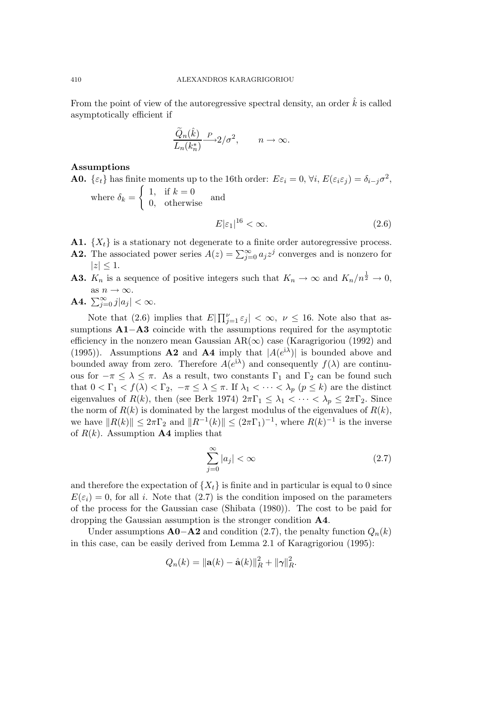From the point of view of the autoregressive spectral density, an order  $\hat{k}$  is called asymptotically efficient if

$$
\frac{\widetilde{Q}_n(\hat{k})}{L_n(k_n^*)} \xrightarrow{P} 2/\sigma^2, \qquad n \to \infty.
$$

## **Assumptions**

**A0.** { $\varepsilon_t$ } has finite moments up to the 16th order:  $E\varepsilon_i = 0$ ,  $\forall i$ ,  $E(\varepsilon_i \varepsilon_j) = \delta_{i-j} \sigma^2$ ,  $\int 1$ , if  $k = 0$ 

where  $\delta_k =$  $0,$  otherwise and  $E|\varepsilon_1|^{16} < \infty.$  (2.6)

- **A1.**  $\{X_t\}$  is a stationary not degenerate to a finite order autoregressive process.
- **A2.** The associated power series  $A(z) = \sum_{j=0}^{\infty} a_j z^j$  converges and is nonzero for  $|z| \leq 1$ .
- **A3.**  $K_n$  is a sequence of positive integers such that  $K_n \to \infty$  and  $K_n/n^{\frac{1}{2}} \to 0$ , as  $n \to \infty$ .
- **A4.**  $\sum_{j=0}^{\infty} j |a_j| < \infty$ .

Note that (2.6) implies that  $E|\prod_{j=1}^{\nu} \varepsilon_j| < \infty$ ,  $\nu \leq 16$ . Note also that assumptions **A1**−**A3** coincide with the assumptions required for the asymptotic efficiency in the nonzero mean Gaussian  $AR(\infty)$  case (Karagrigoriou (1992) and (1995)). Assumptions **A2** and **A4** imply that  $|A(e^{i\lambda})|$  is bounded above and bounded away from zero. Therefore  $A(e^{i\lambda})$  and consequently  $f(\lambda)$  are continuous for  $-\pi \leq \lambda \leq \pi$ . As a result, two constants  $\Gamma_1$  and  $\Gamma_2$  can be found such that  $0 < \Gamma_1 < f(\lambda) < \Gamma_2$ ,  $-\pi \leq \lambda \leq \pi$ . If  $\lambda_1 < \cdots < \lambda_p$   $(p \leq k)$  are the distinct eigenvalues of  $R(k)$ , then (see Berk 1974)  $2\pi\Gamma_1 \leq \lambda_1 < \cdots < \lambda_p \leq 2\pi\Gamma_2$ . Since the norm of  $R(k)$  is dominated by the largest modulus of the eigenvalues of  $R(k)$ , we have  $||R(k)|| \leq 2\pi\Gamma_2$  and  $||R^{-1}(k)|| \leq (2\pi\Gamma_1)^{-1}$ , where  $R(k)^{-1}$  is the inverse of  $R(k)$ . Assumption **A4** implies that

$$
\sum_{j=0}^{\infty} |a_j| < \infty \tag{2.7}
$$

and therefore the expectation of  ${X<sub>t</sub>}$  is finite and in particular is equal to 0 since  $E(\varepsilon_i) = 0$ , for all i. Note that (2.7) is the condition imposed on the parameters of the process for the Gaussian case (Shibata (1980)). The cost to be paid for dropping the Gaussian assumption is the stronger condition **A4**.

Under assumptions  $\mathbf{A0} - \mathbf{A2}$  and condition (2.7), the penalty function  $Q_n(k)$ in this case, can be easily derived from Lemma 2.1 of Karagrigoriou (1995):

$$
Q_n(k) = ||\mathbf{a}(k) - \hat{\mathbf{a}}(k)||_R^2 + ||\gamma||_R^2.
$$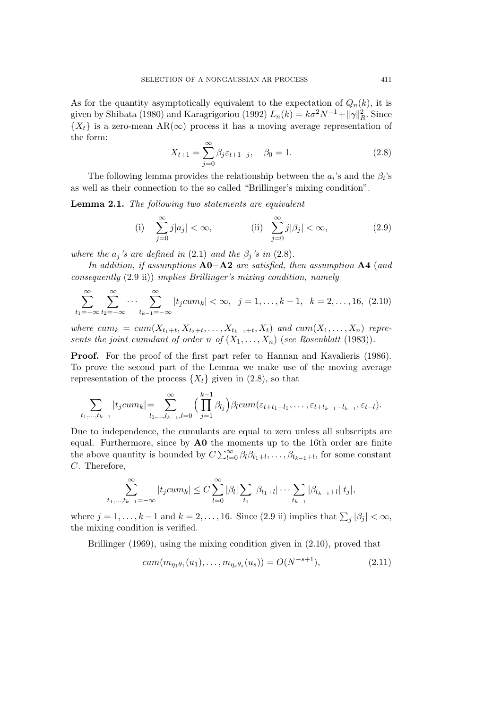As for the quantity asymptotically equivalent to the expectation of  $Q_n(k)$ , it is given by Shibata (1980) and Karagrigoriou (1992)  $L_n(k) = k\sigma^2 N^{-1} + ||\gamma||_R^2$ . Since  ${X<sub>t</sub>}$  is a zero-mean AR( $\infty$ ) process it has a moving average representation of the form:

$$
X_{t+1} = \sum_{j=0}^{\infty} \beta_j \varepsilon_{t+1-j}, \quad \beta_0 = 1.
$$
 (2.8)

The following lemma provides the relationship between the  $a_i$ 's and the  $\beta_i$ 's as well as their connection to the so called "Brillinger's mixing condition".

**Lemma 2.1.** *The following two statements are equivalent*

(i) 
$$
\sum_{j=0}^{\infty} j|a_j| < \infty,
$$
 (ii) 
$$
\sum_{j=0}^{\infty} j|\beta_j| < \infty,
$$
 (2.9)

*where the*  $a_j$ 's are defined in (2.1) and the  $\beta_j$ 's in (2.8).

*In addition, if assumptions* **A0**−**A2** *are satisfied, then assumption* **A4** (*and consequently* (2.9 ii)) *implies Brillinger's mixing condition, namely*

$$
\sum_{t_1=-\infty}^{\infty} \sum_{t_2=-\infty}^{\infty} \cdots \sum_{t_{k-1}=-\infty}^{\infty} |t_j c u m_k| < \infty, \ \ j = 1, \ldots, k-1, \ \ k = 2, \ldots, 16, \ (2.10)
$$

*where*  $cum_k = cum(X_{t_1+t}, X_{t_2+t}, \ldots, X_{t_{k-1}+t}, X_t)$  *and*  $cum(X_1, \ldots, X_n)$  *represents the joint cumulant of order*  $n$  *of*  $(X_1, \ldots, X_n)$  (*see Rosenblatt* (1983)).

**Proof.** For the proof of the first part refer to Hannan and Kavalieris (1986). To prove the second part of the Lemma we make use of the moving average representation of the process  $\{X_t\}$  given in (2.8), so that

$$
\sum_{t_1,\ldots,t_{k-1}}|t_jcum_k|=\sum_{l_1,\ldots,l_{k-1},l=0}^{\infty} \Big(\prod_{j=1}^{k-1} \beta_{l_j}\Big) \beta_l cum(\varepsilon_{t+t_1-l_1},\ldots,\varepsilon_{t+t_{k-1}-l_{k-1}},\varepsilon_{t-l}).
$$

Due to independence, the cumulants are equal to zero unless all subscripts are equal. Furthermore, since by **A0** the moments up to the 16th order are finite the above quantity is bounded by  $C \sum_{l=0}^{\infty} \beta_l \beta_{t_1+l}, \ldots, \beta_{t_{k-1}+l}$ , for some constant C. Therefore,

$$
\sum_{t_1,\dots,t_{k-1}=-\infty}^{\infty} |t_j c u m_k| \leq C \sum_{l=0}^{\infty} |\beta_l| \sum_{t_1} |\beta_{t_1+l}| \cdots \sum_{t_{k-1}} |\beta_{t_{k-1}+l}| |t_j|,
$$

where  $j = 1, ..., k-1$  and  $k = 2, ..., 16$ . Since  $(2.9 \text{ ii})$  implies that  $\sum_j |\beta_j| < \infty$ , the mixing condition is verified.

Brillinger (1969), using the mixing condition given in (2.10), proved that

$$
cum(m_{\eta_1\theta_1}(u_1), \dots, m_{\eta_s\theta_s}(u_s)) = O(N^{-s+1}), \tag{2.11}
$$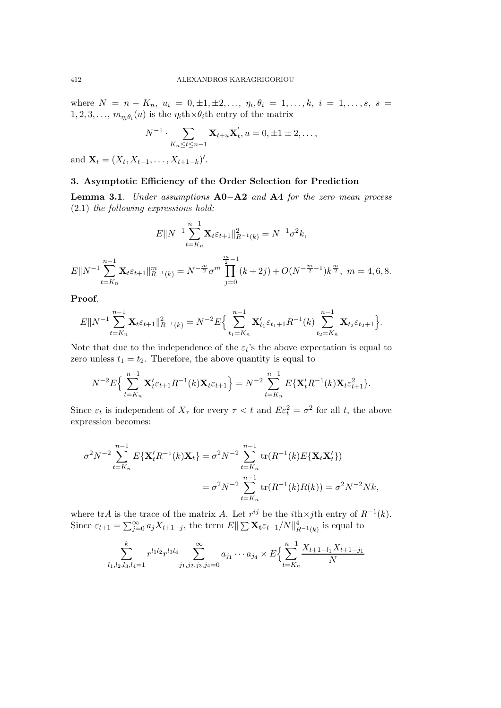where  $N = n - K_n$ ,  $u_i = 0, \pm 1, \pm 2, \ldots, \eta_i, \theta_i = 1, \ldots, k, i = 1, \ldots, s, s =$  $1, 2, 3, \ldots, m_{\eta_i \theta_i}(u)$  is the  $\eta_i$ th $\times \theta_i$ <sup>th</sup> entry of the matrix

$$
N^{-1} \cdot \sum_{K_n \le t \le n-1} \mathbf{X}_{t+u} \mathbf{X}'_t, u = 0, \pm 1 \pm 2, \dots,
$$

and  $\mathbf{X}_t = (X_t, X_{t-1}, \dots, X_{t+1-k})'.$ 

## **3. Asymptotic Efficiency of the Order Selection for Prediction**

**Lemma 3.1**. *Under assumptions* **A0**−**A2** *and* **A4** *for the zero mean process* (2.1) *the following expressions hold:*

$$
E||N^{-1}\sum_{t=K_n}^{n-1} \mathbf{X}_t \varepsilon_{t+1}||_{R^{-1}(k)}^2 = N^{-1}\sigma^2 k,
$$
  

$$
E||N^{-1}\sum_{t=K_n}^{n-1} \mathbf{X}_t \varepsilon_{t+1}||_{R^{-1}(k)}^m = N^{-\frac{m}{2}}\sigma^m \prod_{j=0}^{\frac{m}{2}-1} (k+2j) + O(N^{-\frac{m}{2}-1})k^{\frac{m}{2}}, \quad m=4,6,8.
$$

**Proof**.

$$
E||N^{-1}\sum_{t=K_n}^{n-1} \mathbf{X}_t \varepsilon_{t+1}||_{R^{-1}(k)}^2 = N^{-2}E\Big\{\sum_{t_1=K_n}^{n-1} \mathbf{X}_{t_1}'\varepsilon_{t_1+1}R^{-1}(k)\sum_{t_2=K_n}^{n-1} \mathbf{X}_{t_2}\varepsilon_{t_2+1}\Big\}.
$$

Note that due to the independence of the  $\varepsilon_t$ 's the above expectation is equal to zero unless  $t_1 = t_2$ . Therefore, the above quantity is equal to

$$
N^{-2}E\left\{\sum_{t=K_n}^{n-1} \mathbf{X}'_t \varepsilon_{t+1} R^{-1}(k) \mathbf{X}_t \varepsilon_{t+1}\right\} = N^{-2} \sum_{t=K_n}^{n-1} E\{\mathbf{X}'_t R^{-1}(k) \mathbf{X}_t \varepsilon_{t+1}^2\}.
$$

Since  $\varepsilon_t$  is independent of  $X_\tau$  for every  $\tau < t$  and  $E\varepsilon_t^2 = \sigma^2$  for all t, the above expression becomes:

$$
\sigma^2 N^{-2} \sum_{t=K_n}^{n-1} E\{\mathbf{X}_t R^{-1}(k) \mathbf{X}_t\} = \sigma^2 N^{-2} \sum_{t=K_n}^{n-1} \text{tr}(R^{-1}(k) E\{\mathbf{X}_t \mathbf{X}_t'\})
$$
  
= 
$$
\sigma^2 N^{-2} \sum_{t=K_n}^{n-1} \text{tr}(R^{-1}(k) R(k)) = \sigma^2 N^{-2} Nk,
$$

where trA is the trace of the matrix A. Let  $r^{ij}$  be the *i*th×*j*th entry of  $R^{-1}(k)$ . Since  $\varepsilon_{t+1} = \sum_{j=0}^{\infty} a_j X_{t+1-j}$ , the term  $E \|\sum \mathbf{X}_t \varepsilon_{t+1}/N\|_{R^{-1}(k)}^4$  is equal to

$$
\sum_{l_1,l_2,l_3,l_4=1}^k r^{l_1l_2} r^{l_3l_4} \sum_{j_1,j_2,j_3,j_4=0}^{\infty} a_{j_1} \cdots a_{j_4} \times E\Big\{ \sum_{t=K_n}^{n-1} \frac{X_{t+1-l_1} X_{t+1-j_1}}{N} \Big\}
$$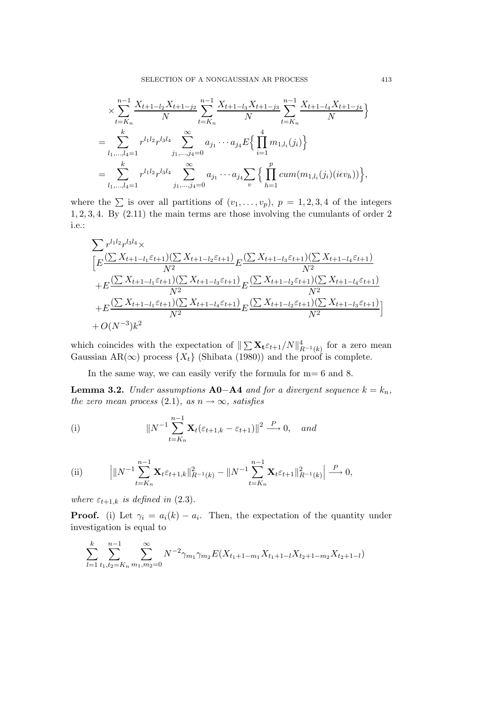$$
\times \sum_{t=K_n}^{n-1} \frac{X_{t+1-l_2}X_{t+1-j_2}}{N} \sum_{t=K_n}^{n-1} \frac{X_{t+1-l_3}X_{t+1-j_3}}{N} \sum_{t=K_n}^{n-1} \frac{X_{t+1-l_4}X_{t+1-j_4}}{N} \}
$$
  
= 
$$
\sum_{l_1,\ldots,l_4=1}^{k} r^{l_1l_2} r^{l_3l_4} \sum_{j_1,\ldots,j_4=0}^{\infty} a_{j_1} \cdots a_{j_4} E\left\{\prod_{i=1}^4 m_{1,l_i}(j_i)\right\}
$$
  
= 
$$
\sum_{l_1,\ldots,l_4=1}^{k} r^{l_1l_2} r^{l_3l_4} \sum_{j_1,\ldots,j_4=0}^{\infty} a_{j_1} \cdots a_{j_4} \sum_{v} \left\{\prod_{h=1}^P cum(m_{1,l_i}(j_i)(iev_h))\right\},
$$

where the  $\sum$  is over all partitions of  $(v_1,\ldots,v_p), p = 1,2,3,4$  of the integers 1, 2, 3, 4. By (2.11) the main terms are those involving the cumulants of order 2 i.e.:

$$
\sum r^{l_1 l_2} r^{l_3 l_4} \times
$$
\n
$$
\left[ E \frac{\left( \sum X_{t+1-l_1} \varepsilon_{t+1} \right) \left( \sum X_{t+1-l_2} \varepsilon_{t+1} \right)}{N^2} E \frac{\left( \sum X_{t+1-l_3} \varepsilon_{t+1} \right) \left( \sum X_{t+1-l_4} \varepsilon_{t+1} \right)}{N^2} + E \frac{\left( \sum X_{t+1-l_1} \varepsilon_{t+1} \right) \left( \sum X_{t+1-l_3} \varepsilon_{t+1} \right)}{N^2} E \frac{\left( \sum X_{t+1-l_2} \varepsilon_{t+1} \right) \left( \sum X_{t+1-l_4} \varepsilon_{t+1} \right)}{N^2} + E \frac{\left( \sum X_{t+1-l_1} \varepsilon_{t+1} \right) \left( \sum X_{t+1-l_4} \varepsilon_{t+1} \right)}{N^2} E \frac{\left( \sum X_{t+1-l_2} \varepsilon_{t+1} \right) \left( \sum X_{t+1-l_3} \varepsilon_{t+1} \right)}{N^2} + O(N^{-3}) k^2
$$

which coincides with the expectation of  $\|\sum \mathbf{X_t} \varepsilon_{t+1}/N\|_{R^{-1}(k)}^4$  for a zero mean Gaussian AR(∞) process  $\{X_t\}$  (Shibata (1980)) and the proof is complete.

In the same way, we can easily verify the formula for m= 6 and 8.

**Lemma 3.2.** *Under assumptions*  $\mathbf{A0} - \mathbf{A4}$  *and for a divergent sequence*  $k = k_n$ *, the zero mean process* (2.1)*, as*  $n \rightarrow \infty$ *, satisfies* 

(i) 
$$
||N^{-1}\sum_{t=K_n}^{n-1} \mathbf{X}_t(\varepsilon_{t+1,k} - \varepsilon_{t+1})||^2 \xrightarrow{P} 0, \quad and
$$

(ii) 
$$
\left| \|N^{-1} \sum_{t=K_n}^{n-1} \mathbf{X}_t \varepsilon_{t+1,k} \|_{R^{-1}(k)}^2 - \|N^{-1} \sum_{t=K_n}^{n-1} \mathbf{X}_t \varepsilon_{t+1} \|_{R^{-1}(k)}^2 \right| \xrightarrow{P} 0,
$$

*where*  $\varepsilon_{t+1,k}$  *is defined in* (2.3).

k

**Proof.** (i) Let  $\gamma_i = a_i(k) - a_i$ . Then, the expectation of the quantity under investigation is equal to

$$
\sum_{l=1}^{k} \sum_{t_1,t_2=K_n}^{n-1} \sum_{m_1,m_2=0}^{\infty} N^{-2} \gamma_{m_1} \gamma_{m_2} E(X_{t_1+1-m_1} X_{t_1+1-l} X_{t_2+1-m_2} X_{t_2+1-l})
$$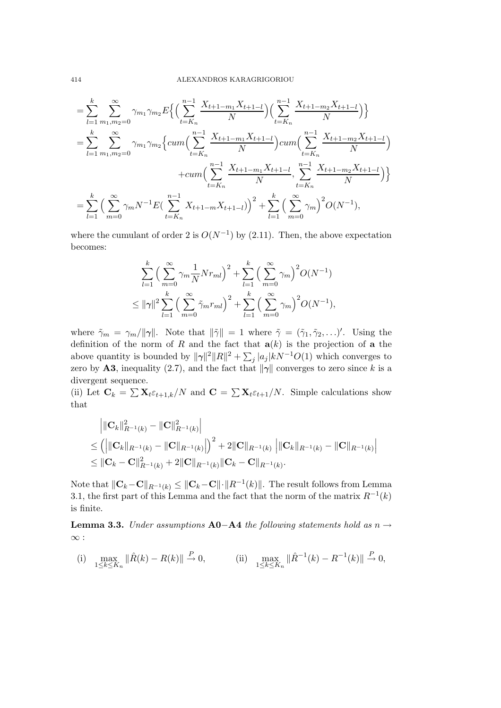$$
= \sum_{l=1}^{k} \sum_{m_1,m_2=0}^{\infty} \gamma_{m_1} \gamma_{m_2} E\Big\{ \Big( \sum_{t=K_n}^{n-1} \frac{X_{t+1-m_1} X_{t+1-l}}{N} \Big) \Big( \sum_{t=K_n}^{n-1} \frac{X_{t+1-m_2} X_{t+1-l}}{N} \Big) \Big\}
$$
  
\n
$$
= \sum_{l=1}^{k} \sum_{m_1,m_2=0}^{\infty} \gamma_{m_1} \gamma_{m_2} \Big\{ cum \Big( \sum_{t=K_n}^{n-1} \frac{X_{t+1-m_1} X_{t+1-l}}{N} \Big) cum \Big( \sum_{t=K_n}^{n-1} \frac{X_{t+1-m_2} X_{t+1-l}}{N} \Big) \Big\}
$$
  
\n
$$
+ cum \Big( \sum_{t=K_n}^{n-1} \frac{X_{t+1-m_1} X_{t+1-l}}{N} , \sum_{t=K_n}^{n-1} \frac{X_{t+1-m_2} X_{t+1-l}}{N} \Big) \Big\}
$$
  
\n
$$
= \sum_{l=1}^{k} \Big( \sum_{m=0}^{\infty} \gamma_m N^{-1} E\Big( \sum_{t=K_n}^{n-1} X_{t+1-m} X_{t+1-l} \Big) \Big)^2 + \sum_{l=1}^{k} \Big( \sum_{m=0}^{\infty} \gamma_m \Big)^2 O(N^{-1}),
$$

where the cumulant of order 2 is  $O(N^{-1})$  by (2.11). Then, the above expectation becomes:

$$
\sum_{l=1}^{k} \left( \sum_{m=0}^{\infty} \gamma_m \frac{1}{N} N r_{ml} \right)^2 + \sum_{l=1}^{k} \left( \sum_{m=0}^{\infty} \gamma_m \right)^2 O(N^{-1})
$$
  

$$
\leq ||\gamma||^2 \sum_{l=1}^{k} \left( \sum_{m=0}^{\infty} \tilde{\gamma}_m r_{ml} \right)^2 + \sum_{l=1}^{k} \left( \sum_{m=0}^{\infty} \gamma_m \right)^2 O(N^{-1}),
$$

where  $\tilde{\gamma}_m = \gamma_m / ||\gamma||$ . Note that  $||\tilde{\gamma}|| = 1$  where  $\tilde{\gamma} = (\tilde{\gamma}_1, \tilde{\gamma}_2, \ldots)'$ . Using the definition of the norm of R and the fact that  $a(k)$  is the projection of a the above quantity is bounded by  $\|\gamma\|^2 \|R\|^2 + \sum_j |a_j| kN^{-1} O(1)$  which converges to zero by **A3**, inequality (2.7), and the fact that  $\|\gamma\|$  converges to zero since k is a divergent sequence.

(ii) Let  $\mathbf{C}_k = \sum \mathbf{X}_t \varepsilon_{t+1,k}/N$  and  $\mathbf{C} = \sum \mathbf{X}_t \varepsilon_{t+1}/N$ . Simple calculations show that

$$
\|C_{k}\|_{R^{-1}(k)}^{2} - \|C\|_{R^{-1}(k)}^{2} \|
$$
  
\n
$$
\leq ( \|C_{k}\|_{R^{-1}(k)} - \|C\|_{R^{-1}(k)} \| )^{2} + 2\|C\|_{R^{-1}(k)} \|C_{k}\|_{R^{-1}(k)} - \|C\|_{R^{-1}(k)} \|
$$
  
\n
$$
\leq \|C_{k} - C\|_{R^{-1}(k)}^{2} + 2\|C\|_{R^{-1}(k)} \|C_{k} - C\|_{R^{-1}(k)}.
$$

Note that  $||\mathbf{C}_k-\mathbf{C}||_{R^{-1}(k)} \leq ||\mathbf{C}_k-\mathbf{C}|| \cdot ||R^{-1}(k)||$ . The result follows from Lemma 3.1, the first part of this Lemma and the fact that the norm of the matrix  $R^{-1}(k)$ is finite.

**Lemma 3.3.** *Under assumptions* **A0**−**A4** *the following statements hold as* n →  $\infty$  :

(i) 
$$
\max_{1 \le k \le K_n} \|\hat{R}(k) - R(k)\| \stackrel{P}{\to} 0
$$
, (ii)  $\max_{1 \le k \le K_n} \|\hat{R}^{-1}(k) - R^{-1}(k)\| \stackrel{P}{\to} 0$ ,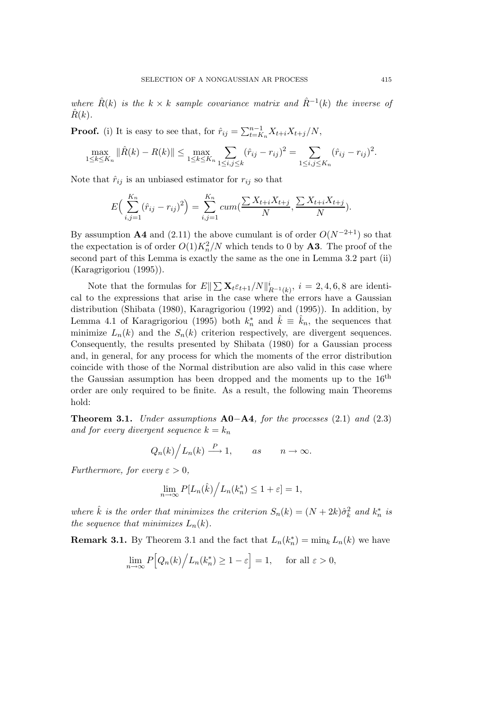*where*  $\hat{R}(k)$  *is the*  $k \times k$  *sample covariance matrix and*  $\hat{R}^{-1}(k)$  *the inverse of*  $R(k)$ .

**Proof.** (i) It is easy to see that, for  $\hat{r}_{ij} = \sum_{t=K_n}^{n-1} X_{t+i} X_{t+j}/N$ ,

$$
\max_{1 \leq k \leq K_n} \|\hat{R}(k) - R(k)\| \leq \max_{1 \leq k \leq K_n} \sum_{1 \leq i,j \leq k} (\hat{r}_{ij} - r_{ij})^2 = \sum_{1 \leq i,j \leq K_n} (\hat{r}_{ij} - r_{ij})^2.
$$

Note that  $\hat{r}_{ij}$  is an unbiased estimator for  $r_{ij}$  so that

$$
E\Big(\sum_{i,j=1}^{K_n} (\hat{r}_{ij} - r_{ij})^2\Big) = \sum_{i,j=1}^{K_n} cum(\frac{\sum X_{t+i}X_{t+j}}{N}, \frac{\sum X_{t+i}X_{t+j}}{N}).
$$

By assumption **A4** and (2.11) the above cumulant is of order  $O(N^{-2+1})$  so that the expectation is of order  $O(1)K_n^2/N$  which tends to 0 by **A3**. The proof of the second part of this Lemma is exactly the same as the one in Lemma 3.2 part (ii) (Karagrigoriou (1995)).

Note that the formulas for  $E\|\sum \mathbf{X}_t \varepsilon_{t+1}/N\|_{R^{-1}(k)}^i$ ,  $i = 2, 4, 6, 8$  are identical to the expressions that arise in the case where the errors have a Gaussian distribution (Shibata (1980), Karagrigoriou (1992) and (1995)). In addition, by Lemma 4.1 of Karagrigoriou (1995) both  $k_n^*$  and  $\hat{k} \equiv \hat{k}_n$ , the sequences that minimize  $L_n(k)$  and the  $S_n(k)$  criterion respectively, are divergent sequences. Consequently, the results presented by Shibata (1980) for a Gaussian process and, in general, for any process for which the moments of the error distribution coincide with those of the Normal distribution are also valid in this case where the Gaussian assumption has been dropped and the moments up to the  $16<sup>th</sup>$ order are only required to be finite. As a result, the following main Theorems hold:

**Theorem 3.1.** *Under assumptions* **A0**−**A4***, for the processes* (2.1) *and* (2.3) *and for every divergent sequence*  $k = k_n$ 

$$
Q_n(k) / L_n(k) \xrightarrow{P} 1
$$
, as  $n \to \infty$ .

*Furthermore, for every*  $\varepsilon > 0$ *,* 

$$
\lim_{n \to \infty} P[L_n(\hat{k})/L_n(k_n^*) \le 1 + \varepsilon] = 1,
$$

*where*  $\hat{k}$  *is the order that minimizes the criterion*  $S_n(k) = (N + 2k)\hat{\sigma}_k^2$  *and*  $k_n^*$  *is the sequence that minimizes*  $L_n(k)$ .

**Remark 3.1.** By Theorem 3.1 and the fact that  $L_n(k_n^*) = \min_k L_n(k)$  we have

$$
\lim_{n \to \infty} P\Big[Q_n(k)\Big/ L_n(k_n^*) \ge 1 - \varepsilon\Big] = 1, \quad \text{ for all } \varepsilon > 0,
$$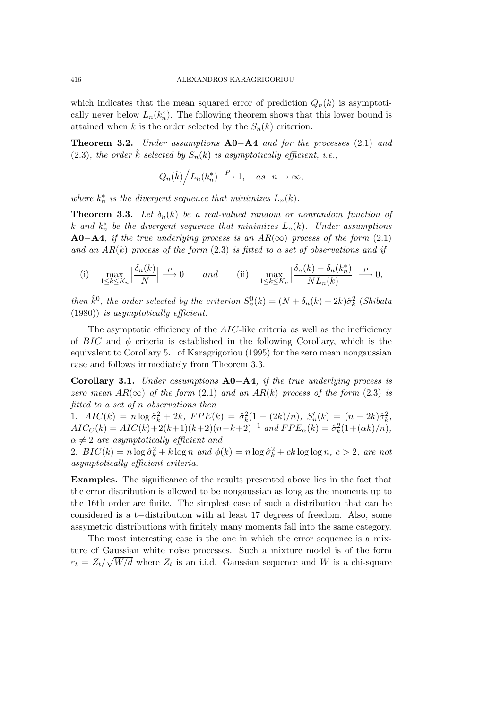which indicates that the mean squared error of prediction  $Q_n(k)$  is asymptotically never below  $L_n(k_n^*)$ . The following theorem shows that this lower bound is attained when k is the order selected by the  $S_n(k)$  criterion.

**Theorem 3.2.** *Under assumptions* **A0**−**A4** *and for the processes* (2.1) *and*  $(2.3)$ , the order  $\hat{k}$  selected by  $S_n(k)$  is asymptotically efficient, i.e.,

$$
Q_n(\hat{k})\Big/L_n(k_n^*) \stackrel{P}{\longrightarrow} 1, \quad as \ \ n \to \infty,
$$

*where*  $k_n^*$  *is the divergent sequence that minimizes*  $L_n(k)$ *.* 

**Theorem 3.3.** Let  $\delta_n(k)$  be a real-valued random or nonrandom function of  $k$  and  $k_n^*$  be the divergent sequence that minimizes  $L_n(k)$ . Under assumptions **A0−A4***, if the true underlying process is an AR(∞) process of the form* (2.1) *and an* AR(k) *process of the form* (2.3) *is fitted to a set of observations and if*

(i) 
$$
\max_{1 \le k \le K_n} \left| \frac{\delta_n(k)}{N} \right| \xrightarrow{P} 0
$$
 and (ii)  $\max_{1 \le k \le K_n} \left| \frac{\delta_n(k) - \delta_n(k_n^*)}{NL_n(k)} \right| \xrightarrow{P} 0$ ,

*then*  $\hat{k}^0$ , *the order selected by the criterion*  $S_n^0(k) = (N + \delta_n(k) + 2k)\hat{\sigma}_k^2$  (*Shibata*) (1980)) *is asymptotically efficient.*

The asymptotic efficiency of the AIC-like criteria as well as the inefficiency of  $BIC$  and  $\phi$  criteria is established in the following Corollary, which is the equivalent to Corollary 5.1 of Karagrigoriou (1995) for the zero mean nongaussian case and follows immediately from Theorem 3.3.

**Corollary 3.1.** *Under assumptions* **A0**−**A4***, if the true underlying process is zero mean*  $AR(\infty)$  *of the form* (2.1) *and an*  $AR(k)$  *process of the form* (2.3) *is fitted to a set of* n *observations then*

1.  $AIC(k) = n \log \hat{\sigma}_k^2 + 2k$ ,  $FPE(k) = \hat{\sigma}_k^2(1 + (2k)/n)$ ,  $S'_n(k) = (n + 2k)\hat{\sigma}_k^2$ ,  $AIC_C(k) = AIC(k) + 2(k+1)(k+2)(n-k+2)^{-1}$  and  $FPE_{\alpha}(k) = \hat{\sigma}_k^2(1 + (\alpha k)/n)$ ,  $\alpha \neq 2$  are asymptotically efficient and

2.  $BIC(k) = n \log \hat{\sigma}_k^2 + k \log n$  and  $\phi(k) = n \log \hat{\sigma}_k^2 + ck \log \log n$ ,  $c > 2$ , are not *asymptotically efficient criteria.*

**Examples.** The significance of the results presented above lies in the fact that the error distribution is allowed to be nongaussian as long as the moments up to the 16th order are finite. The simplest case of such a distribution that can be considered is a t−distribution with at least 17 degrees of freedom. Also, some assymetric distributions with finitely many moments fall into the same category.

The most interesting case is the one in which the error sequence is a mixture of Gaussian white noise processes. Such a mixture model is of the form  $\varepsilon_t = Z_t/\sqrt{W/d}$  where  $Z_t$  is an i.i.d. Gaussian sequence and W is a chi-square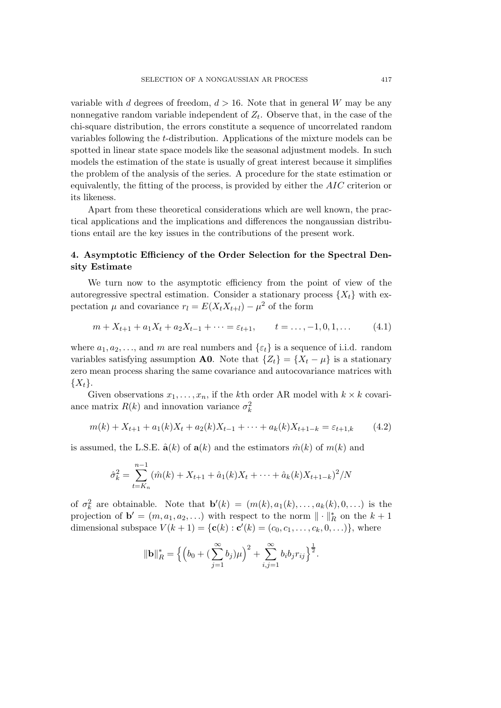variable with d degrees of freedom,  $d > 16$ . Note that in general W may be any nonnegative random variable independent of  $Z_t$ . Observe that, in the case of the chi-square distribution, the errors constitute a sequence of uncorrelated random variables following the t-distribution. Applications of the mixture models can be spotted in linear state space models like the seasonal adjustment models. In such models the estimation of the state is usually of great interest because it simplifies the problem of the analysis of the series. A procedure for the state estimation or equivalently, the fitting of the process, is provided by either the AIC criterion or its likeness.

Apart from these theoretical considerations which are well known, the practical applications and the implications and differences the nongaussian distributions entail are the key issues in the contributions of the present work.

## **4. Asymptotic Efficiency of the Order Selection for the Spectral Density Estimate**

We turn now to the asymptotic efficiency from the point of view of the autoregressive spectral estimation. Consider a stationary process  $\{X_t\}$  with expectation  $\mu$  and covariance  $r_l = E(X_t X_{t+l}) - \mu^2$  of the form

$$
m + X_{t+1} + a_1 X_t + a_2 X_{t-1} + \dots = \varepsilon_{t+1}, \qquad t = \dots, -1, 0, 1, \dots \tag{4.1}
$$

where  $a_1, a_2, \ldots$ , and m are real numbers and  $\{\varepsilon_t\}$  is a sequence of i.i.d. random variables satisfying assumption **A0**. Note that  $\{Z_t\} = \{X_t - \mu\}$  is a stationary zero mean process sharing the same covariance and autocovariance matrices with  $\{X_t\}.$ 

Given observations  $x_1, \ldots, x_n$ , if the kth order AR model with  $k \times k$  covariance matrix  $R(k)$  and innovation variance  $\sigma_k^2$ 

$$
m(k) + X_{t+1} + a_1(k)X_t + a_2(k)X_{t-1} + \dots + a_k(k)X_{t+1-k} = \varepsilon_{t+1,k} \tag{4.2}
$$

is assumed, the L.S.E.  $\hat{\mathbf{a}}(k)$  of  $\mathbf{a}(k)$  and the estimators  $\hat{m}(k)$  of  $m(k)$  and

$$
\hat{\sigma}_k^2 = \sum_{t=K_n}^{n-1} (\hat{m}(k) + X_{t+1} + \hat{a}_1(k)X_t + \dots + \hat{a}_k(k)X_{t+1-k})^2 / N
$$

of  $\sigma_k^2$  are obtainable. Note that  $\mathbf{b}'(k) = (m(k), a_1(k), \ldots, a_k(k), 0, \ldots)$  is the projection of  $\mathbf{b}' = (m, a_1, a_2, \ldots)$  with respect to the norm  $\|\cdot\|_R^*$  on the  $k+1$ dimensional subspace  $V(k + 1) = {c(k) : c'(k) = (c_0, c_1, \ldots, c_k, 0, \ldots)}$ , where

$$
\|\mathbf{b}\|_{R}^{*} = \left\{ \left(b_{0} + (\sum_{j=1}^{\infty} b_{j})\mu\right)^{2} + \sum_{i,j=1}^{\infty} b_{i}b_{j}r_{ij} \right\}^{\frac{1}{2}}.
$$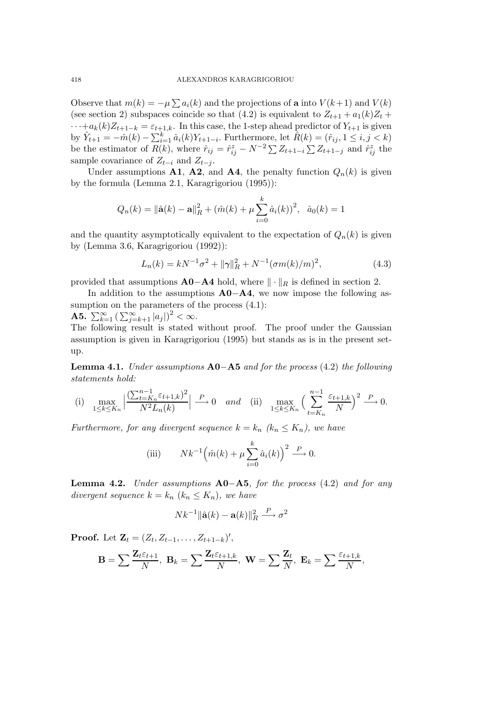Observe that  $m(k) = -\mu \sum a_i(k)$  and the projections of **a** into  $V(k+1)$  and  $V(k)$ (see section 2) subspaces coincide so that (4.2) is equivalent to  $Z_{t+1} + a_1(k)Z_t +$  $\cdots+a_k(k)Z_{t+1-k}=\varepsilon_{t+1,k}$ . In this case, the 1-step ahead predictor of  $Y_{t+1}$  is given by  $\hat{Y}_{t+1} = -\hat{m}(k) - \sum_{i=1}^{k} \hat{a}_i(k) Y_{t+1-i}$ . Furthermore, let  $\hat{R}(k) = (\hat{r}_{ij}, 1 \le i, j < k)$ be the estimator of  $R(k)$ , where  $\hat{r}_{ij} = \hat{r}_{ij}^z - N^{-2} \sum Z_{t+1-i} \sum Z_{t+1-j}$  and  $\hat{r}_{ij}^z$  the sample covariance of  $Z_{t-i}$  and  $Z_{t-j}$ .

Under assumptions **A1**, **A2**, and **A4**, the penalty function  $Q_n(k)$  is given by the formula (Lemma 2.1, Karagrigoriou (1995)):

$$
Q_n(k) = \|\hat{\mathbf{a}}(k) - \mathbf{a}\|_{R}^2 + (\hat{m}(k) + \mu \sum_{i=0}^{k} \hat{a}_i(k))^2, \ \ \hat{a}_0(k) = 1
$$

and the quantity asymptotically equivalent to the expectation of  $Q_n(k)$  is given by (Lemma 3.6, Karagrigoriou (1992)):

$$
L_n(k) = kN^{-1}\sigma^2 + ||\gamma||_R^2 + N^{-1}(\sigma m(k)/m)^2,
$$
\n(4.3)

provided that assumptions  $\mathbf{A0}$ −**A4** hold, where  $\|\cdot\|_R$  is defined in section 2.

In addition to the assumptions **A0**−**A4**, we now impose the following assumption on the parameters of the process  $(4.1)$ :

**A5.**  $\sum_{k=1}^{\infty} \left( \sum_{j=k+1}^{\infty} |a_j| \right)^2 < \infty$ .

The following result is stated without proof. The proof under the Gaussian assumption is given in Karagrigoriou (1995) but stands as is in the present setup.

**Lemma 4.1.** *Under assumptions* **A0**−**A5** *and for the process* (4.2) *the following statements hold:*

(i) 
$$
\max_{1 \le k \le K_n} \left| \frac{(\sum_{t=K_n}^{n-1} \varepsilon_{t+1,k})^2}{N^2 L_n(k)} \right| \xrightarrow{P} 0
$$
 and (ii)  $\max_{1 \le k \le K_n} \left( \sum_{t=K_n}^{n-1} \frac{\varepsilon_{t+1,k}}{N} \right)^2 \xrightarrow{P} 0.$ 

*Furthermore, for any divergent sequence*  $k = k_n$   $(k_n \leq K_n)$ , we have

(iii) 
$$
Nk^{-1} \left(\hat{m}(k) + \mu \sum_{i=0}^{k} \hat{a}_i(k)\right)^2 \stackrel{P}{\longrightarrow} 0.
$$

**Lemma 4.2.** *Under assumptions* **A0**−**A5***, for the process* (4.2) *and for any divergent sequence*  $k = k_n$   $(k_n \leq K_n)$ *, we have* 

$$
Nk^{-1} \|\hat{\mathbf{a}}(k) - \mathbf{a}(k)\|_{R}^{2} \xrightarrow{P} \sigma^{2}
$$

**Proof.** Let  $\mathbf{Z}_t = (Z_t, Z_{t-1}, \ldots, Z_{t+1-k})'$ ,

$$
\mathbf{B}=\sum\frac{\mathbf{Z}_t\varepsilon_{t+1}}{N},\ \mathbf{B}_k=\sum\frac{\mathbf{Z}_t\varepsilon_{t+1,k}}{N},\ \mathbf{W}=\sum\frac{\mathbf{Z}_t}{N},\ \mathbf{E}_k=\sum\frac{\varepsilon_{t+1,k}}{N},
$$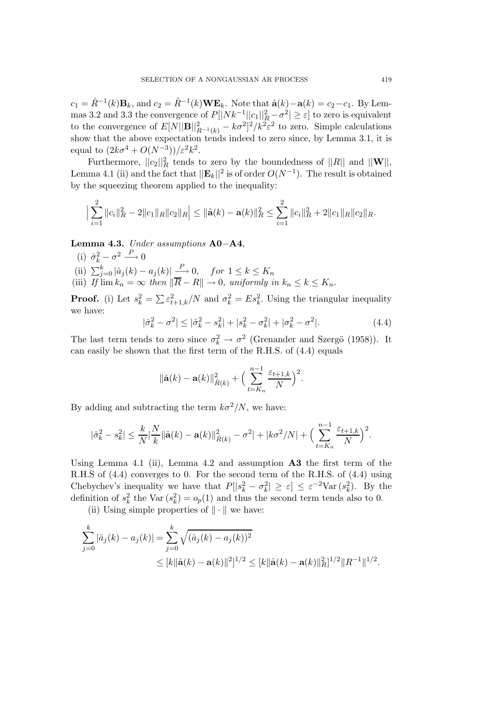$c_1 = \hat{R}^{-1}(k)$ **B**<sub>k</sub>, and  $c_2 = \hat{R}^{-1}(k)$ **WE**<sub>k</sub>. Note that  $\hat{\bf{a}}(k) - {\bf{a}}(k) = c_2 - c_1$ . By Lemmas 3.2 and 3.3 the convergence of  $P[|Nk^{-1}||c_1||_R^2 - \sigma^2] \ge \varepsilon$  to zero is equivalent to the convergence of  $E[N||\mathbf{B}||_{R^{-1}(k)}^2 - k\sigma^2]^2/k^2\epsilon^2$  to zero. Simple calculations show that the above expectation tends indeed to zero since, by Lemma 3.1, it is equal to  $(2k\sigma^4 + O(N^{-3}))/\varepsilon^2 k^2$ .

Furthermore,  $||c_2||_R^2$  tends to zero by the boundedness of  $||R||$  and  $||\mathbf{W}||$ , Lemma 4.1 (ii) and the fact that  $||\mathbf{E}_k||^2$  is of order  $O(N^{-1})$ . The result is obtained by the squeezing theorem applied to the inequality:

$$
\Big|\sum_{i=1}^2\|c_i\|_{R}^2-2\|c_1\|_{R}\|c_2\|_{R}\Big|\leq \|\hat{\mathbf{a}}(k)-\mathbf{a}(k)\|_{R}^2\leq \sum_{i=1}^2\|c_i\|_{R}^2+2\|c_1\|_{R}\|c_2\|_{R}.
$$

**Lemma 4.3.** *Under assumptions* **A0**−**A4**,

(i)  $\hat{\sigma}_k^2 - \sigma^2 \stackrel{P}{\longrightarrow} 0$ (ii)  $\sum_{j=0}^{k} |\hat{a}_j(k) - a_j(k)| \stackrel{P}{\longrightarrow} 0$ , for  $1 \le k \le K_n$ (iii) *If*  $\lim k_n = \infty$  *then*  $\|\overline{R} - R\| \to 0$ *, uniformly in*  $k_n \leq k \leq K_n$ *.* 

**Proof.** (i) Let  $s_k^2 = \sum_{k=1}^{n} \varepsilon_{t+1,k}^2/N$  and  $\sigma_k^2 = Es_k^2$ . Using the triangular inequality we have:

$$
|\hat{\sigma}_k^2 - \sigma^2| \le |\hat{\sigma}_k^2 - s_k^2| + |s_k^2 - \sigma_k^2| + |\sigma_k^2 - \sigma^2|.
$$
 (4.4)

The last term tends to zero since  $\sigma_k^2 \to \sigma^2$  (Grenander and Szergö (1958)). It can easily be shown that the first term of the R.H.S. of (4.4) equals

$$
\|\hat{\mathbf{a}}(k) - \mathbf{a}(k)\|_{\hat{R}(k)}^2 + \Big(\sum_{t=K_n}^{n-1} \frac{\varepsilon_{t+1,k}}{N}\Big)^2.
$$

By adding and subtracting the term  $k\sigma^2/N$ , we have:

$$
|\hat{\sigma}_k^2 - s_k^2| \leq \frac{k}{N} |\frac{N}{k}||\hat{\mathbf{a}}(k) - \mathbf{a}(k)||_{\hat{R}(k)}^2 - \sigma^2| + |k\sigma^2/N| + \Big(\sum_{t=K_n}^{n-1} \frac{\varepsilon_{t+1,k}}{N}\Big)^2.
$$

Using Lemma 4.1 (ii), Lemma 4.2 and assumption **A3** the first term of the R.H.S of (4.4) converges to 0. For the second term of the R.H.S. of (4.4) using Chebychev's inequality we have that  $P[|s_k^2 - \sigma_k^2| \geq \varepsilon] \leq \varepsilon^{-2} \text{Var}(s_k^2)$ . By the definition of  $s_k^2$  the Var  $(s_k^2) = o_p(1)$  and thus the second term tends also to 0.

(ii) Using simple properties of  $\|\cdot\|$  we have:

$$
\sum_{j=0}^{k} |\hat{a}_j(k) - a_j(k)| = \sum_{j=0}^{k} \sqrt{(\hat{a}_j(k) - a_j(k))^2}
$$
  
 
$$
\leq [k ||\hat{\mathbf{a}}(k) - \mathbf{a}(k)||^2]^{1/2} \leq [k ||\hat{\mathbf{a}}(k) - \mathbf{a}(k)||^2_R]^{1/2} ||R^{-1}||^{1/2}.
$$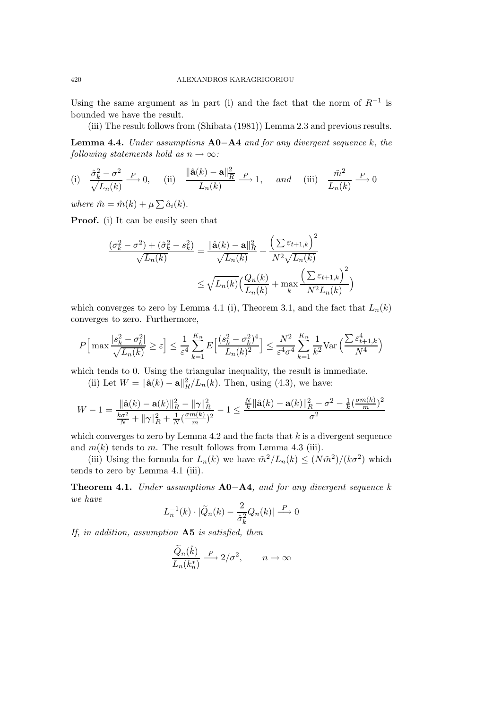Using the same argument as in part (i) and the fact that the norm of  $R^{-1}$  is bounded we have the result.

(iii) The result follows from (Shibata (1981)) Lemma 2.3 and previous results.

**Lemma 4.4.** *Under assumptions* **A0**−**A4** *and for any divergent sequence* k*, the following statements hold as*  $n \to \infty$ *:* 

(i) 
$$
\frac{\hat{\sigma}_k^2 - \sigma^2}{\sqrt{L_n(k)}} \xrightarrow{P} 0
$$
, (ii)  $\frac{\|\hat{\mathbf{a}}(k) - \mathbf{a}\|_{\overline{R}}^2}{L_n(k)} \xrightarrow{P} 1$ , and (iii)  $\frac{\tilde{m}^2}{L_n(k)} \xrightarrow{P} 0$ 

*where*  $\tilde{m} = \hat{m}(k) + \mu \sum \hat{a}_i(k)$ .

**Proof.** (i) It can be easily seen that

$$
\frac{(\sigma_k^2 - \sigma^2) + (\hat{\sigma}_k^2 - s_k^2)}{\sqrt{L_n(k)}} = \frac{\|\hat{\mathbf{a}}(k) - \mathbf{a}\|_R^2}{\sqrt{L_n(k)}} + \frac{\left(\sum \varepsilon_{t+1,k}\right)^2}{N^2 \sqrt{L_n(k)}}
$$

$$
\leq \sqrt{L_n(k)} \left(\frac{Q_n(k)}{L_n(k)} + \max_k \frac{\left(\sum \varepsilon_{t+1,k}\right)^2}{N^2 L_n(k)}\right)
$$

which converges to zero by Lemma 4.1 (i), Theorem 3.1, and the fact that  $L_n(k)$ converges to zero. Furthermore,

$$
P\Big[\max\frac{|s_k^2 - \sigma_k^2|}{\sqrt{L_n(k)}} \ge \varepsilon\Big] \le \frac{1}{\varepsilon^4} \sum_{k=1}^{K_n} E\Big[\frac{(s_k^2 - \sigma_k^2)^4}{L_n(k)^2}\Big] \le \frac{N^2}{\varepsilon^4 \sigma^4} \sum_{k=1}^{K_n} \frac{1}{k^2} \text{Var}\Big(\frac{\sum \varepsilon_{t+1,k}^4}{N^4}\Big)
$$

which tends to 0. Using the triangular inequality, the result is immediate.

(ii) Let  $W = \|\hat{\mathbf{a}}(k) - \mathbf{a}\|_{R}^{2}/L_{n}(k)$ . Then, using (4.3), we have:

$$
W - 1 = \frac{\|\hat{\mathbf{a}}(k) - \mathbf{a}(k)\|_{R}^{2} - \|\gamma\|_{R}^{2}}{\frac{k\sigma^{2}}{N} + \|\gamma\|_{R}^{2} + \frac{1}{N}(\frac{\sigma m(k)}{m})^{2}} - 1 \le \frac{\frac{N}{k}\|\hat{\mathbf{a}}(k) - \mathbf{a}(k)\|_{R}^{2} - \sigma^{2} - \frac{1}{k}(\frac{\sigma m(k)}{m})^{2}}{\sigma^{2}}
$$

which converges to zero by Lemma 4.2 and the facts that  $k$  is a divergent sequence and  $m(k)$  tends to m. The result follows from Lemma 4.3 (iii).

(iii) Using the formula for  $L_n(k)$  we have  $\tilde{m}^2/L_n(k) \leq (N\tilde{m}^2)/(k\sigma^2)$  which tends to zero by Lemma 4.1 (iii).

**Theorem 4.1.** *Under assumptions* **A0**−**A4***, and for any divergent sequence* k *we have*

$$
L_n^{-1}(k) \cdot |\widetilde{Q}_n(k) - \frac{2}{\hat{\sigma}_k^2} Q_n(k)| \stackrel{P}{\longrightarrow} 0
$$

*If, in addition, assumption* **A5** *is satisfied, then*

$$
\frac{\widetilde{Q}_n(\hat{k})}{L_n(k_n^*)} \xrightarrow{P} 2/\sigma^2, \qquad n \to \infty
$$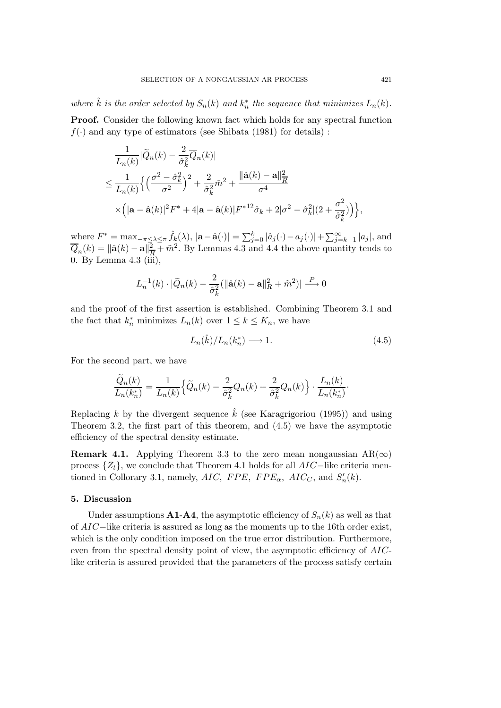*where*  $\hat{k}$  *is the order selected by*  $S_n(k)$  *and*  $k_n^*$  *the sequence that minimizes*  $L_n(k)$ *.* **Proof.** Consider the following known fact which holds for any spectral function  $f(\cdot)$  and any type of estimators (see Shibata (1981) for details):

$$
\frac{1}{L_n(k)}|\widetilde{Q}_n(k) - \frac{2}{\widehat{\sigma}_k^2}\overline{Q}_n(k)|
$$
\n
$$
\leq \frac{1}{L_n(k)} \Big\{ \Big(\frac{\sigma^2 - \widehat{\sigma}_k^2}{\sigma^2}\Big)^2 + \frac{2}{\widehat{\sigma}_k^2}\widetilde{m}^2 + \frac{\|\widehat{\mathbf{a}}(k) - \mathbf{a}\|_R^2}{\sigma^4}
$$
\n
$$
\times \Big(|\mathbf{a} - \widehat{\mathbf{a}}(k)|^2 F^* + 4|\mathbf{a} - \widehat{\mathbf{a}}(k)|F^{*12}\widehat{\sigma}_k + 2|\sigma^2 - \widehat{\sigma}_k^2|(2 + \frac{\sigma^2}{\widehat{\sigma}_k^2})\Big) \Big\},
$$

where  $F^* = \max_{-\pi \leq \lambda \leq \pi} \hat{f}_k(\lambda)$ ,  $|\mathbf{a} - \hat{\mathbf{a}}(\cdot)| = \sum_{j=0}^k |\hat{a}_j(\cdot) - a_j(\cdot)| + \sum_{j=k+1}^{\infty} |a_j|$ , and  $\overline{Q}_n(k) = ||\hat{\mathbf{a}}(k) - \mathbf{a}||_R^2 + \tilde{m}^2$ . By Lemmas 4.3 and 4.4 the above quantity tends to 0. By Lemma 4.3 (iii),

$$
L_n^{-1}(k) \cdot |\widetilde{Q}_n(k) - \frac{2}{\hat{\sigma}_k^2} (||\hat{\mathbf{a}}(k) - \mathbf{a}||_R^2 + \tilde{m}^2)| \stackrel{P}{\longrightarrow} 0
$$

and the proof of the first assertion is established. Combining Theorem 3.1 and the fact that  $k_n^*$  minimizes  $L_n(k)$  over  $1 \leq k \leq K_n$ , we have

$$
L_n(\hat{k})/L_n(k_n^*) \longrightarrow 1. \tag{4.5}
$$

For the second part, we have

$$
\frac{\widetilde{Q}_n(k)}{L_n(k_n^*)} = \frac{1}{L_n(k)} \Big\{ \widetilde{Q}_n(k) - \frac{2}{\widehat{\sigma}_k^2} Q_n(k) + \frac{2}{\widehat{\sigma}_k^2} Q_n(k) \Big\} \cdot \frac{L_n(k)}{L_n(k_n^*)}.
$$

Replacing k by the divergent sequence  $\hat{k}$  (see Karagrigoriou (1995)) and using Theorem 3.2, the first part of this theorem, and (4.5) we have the asymptotic efficiency of the spectral density estimate.

**Remark 4.1.** Applying Theorem 3.3 to the zero mean nongaussian  $AR(\infty)$ process  $\{Z_t\}$ , we conclude that Theorem 4.1 holds for all  $AIC$ −like criteria mentioned in Collorary 3.1, namely,  $AIC$ ,  $FPE$ ,  $FPE_{\alpha}$ ,  $AIC_C$ , and  $S'_n(k)$ .

### **5. Discussion**

Under assumptions  $A1-A4$ , the asymptotic efficiency of  $S_n(k)$  as well as that of AIC−like criteria is assured as long as the moments up to the 16th order exist, which is the only condition imposed on the true error distribution. Furthermore, even from the spectral density point of view, the asymptotic efficiency of AIClike criteria is assured provided that the parameters of the process satisfy certain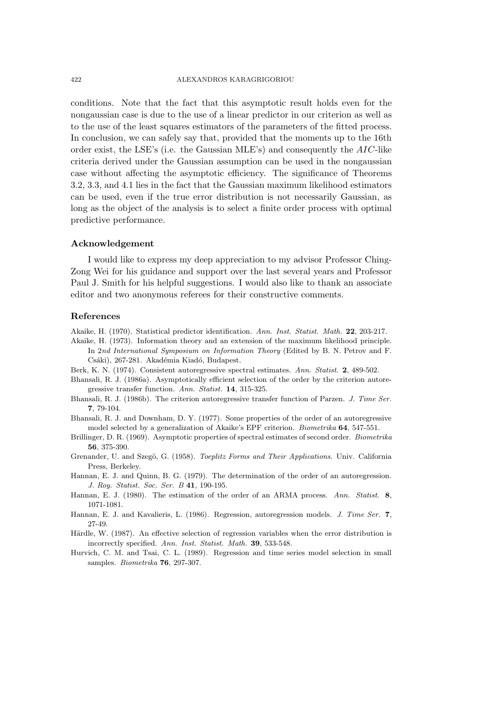#### 422 ALEXANDROS KARAGRIGORIOU

conditions. Note that the fact that this asymptotic result holds even for the nongaussian case is due to the use of a linear predictor in our criterion as well as to the use of the least squares estimators of the parameters of the fitted process. In conclusion, we can safely say that, provided that the moments up to the 16th order exist, the LSE's (i.e. the Gaussian MLE's) and consequently the  $AIC$ -like criteria derived under the Gaussian assumption can be used in the nongaussian case without affecting the asymptotic efficiency. The significance of Theorems 3.2, 3.3, and 4.1 lies in the fact that the Gaussian maximum likelihood estimators can be used, even if the true error distribution is not necessarily Gaussian, as long as the object of the analysis is to select a finite order process with optimal predictive performance.

## **Acknowledgement**

I would like to express my deep appreciation to my advisor Professor Ching-Zong Wei for his guidance and support over the last several years and Professor Paul J. Smith for his helpful suggestions. I would also like to thank an associate editor and two anonymous referees for their constructive comments.

## **References**

Akaike, H. (1970). Statistical predictor identification. *Ann. Inst. Statist. Math.* **22**, 203-217.

- Akaike, H. (1973). Information theory and an extension of the maximum likelihood principle. In 2*nd International Symposium on Information Theory* (Edited by B. N. Petrov and F. Csáki), 267-281. Akadémia Kiadó, Budapest.
- Berk, K. N. (1974). Consistent autoregressive spectral estimates. *Ann. Statist.* **2**, 489-502.
- Bhansali, R. J. (1986a). Asymptotically efficient selection of the order by the criterion autoregressive transfer function. *Ann. Statist.* **14**, 315-325.
- Bhansali, R. J. (1986b). The criterion autoregressive transfer function of Parzen. *J. Time Ser.* **7**, 79-104.

Bhansali, R. J. and Downham, D. Y. (1977). Some properties of the order of an autoregressive model selected by a generalization of Akaike's EPF criterion. *Biometrika* **64**, 547-551.

Brillinger, D. R. (1969). Asymptotic properties of spectral estimates of second order. *Biometrika* **56**, 375-390.

- Grenander, U. and Szegö, G. (1958). *Toeplitz Forms and Their Applications*. Univ. California Press, Berkeley.
- Hannan, E. J. and Quinn, B. G. (1979). The determination of the order of an autoregression. *J. Roy. Statist. Soc. Ser. B* **41**, 190-195.
- Hannan, E. J. (1980). The estimation of the order of an ARMA process. *Ann. Statist.* **8**, 1071-1081.
- Hannan, E. J. and Kavalieris, L. (1986). Regression, autoregression models. *J. Time Ser.* **7**, 27-49.
- Härdle, W. (1987). An effective selection of regression variables when the error distribution is incorrectly specified. *Ann. Inst. Statist. Math.* **39**, 533-548.
- Hurvich, C. M. and Tsai, C. L. (1989). Regression and time series model selection in small samples. *Biometrika* **76**, 297-307.